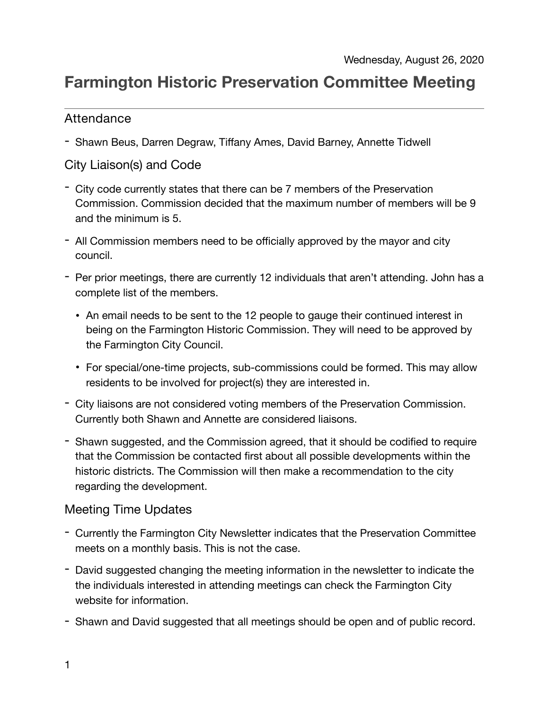# **Farmington Historic Preservation Committee Meeting**

#### Attendance

- Shawn Beus, Darren Degraw, Tiffany Ames, David Barney, Annette Tidwell

## City Liaison(s) and Code

- City code currently states that there can be 7 members of the Preservation Commission. Commission decided that the maximum number of members will be 9 and the minimum is 5.
- All Commission members need to be officially approved by the mayor and city council.
- Per prior meetings, there are currently 12 individuals that aren't attending. John has a complete list of the members.
	- An email needs to be sent to the 12 people to gauge their continued interest in being on the Farmington Historic Commission. They will need to be approved by the Farmington City Council.
	- For special/one-time projects, sub-commissions could be formed. This may allow residents to be involved for project(s) they are interested in.
- City liaisons are not considered voting members of the Preservation Commission. Currently both Shawn and Annette are considered liaisons.
- Shawn suggested, and the Commission agreed, that it should be codified to require that the Commission be contacted first about all possible developments within the historic districts. The Commission will then make a recommendation to the city regarding the development.

### Meeting Time Updates

- Currently the Farmington City Newsletter indicates that the Preservation Committee meets on a monthly basis. This is not the case.
- David suggested changing the meeting information in the newsletter to indicate the the individuals interested in attending meetings can check the Farmington City website for information.
- Shawn and David suggested that all meetings should be open and of public record.